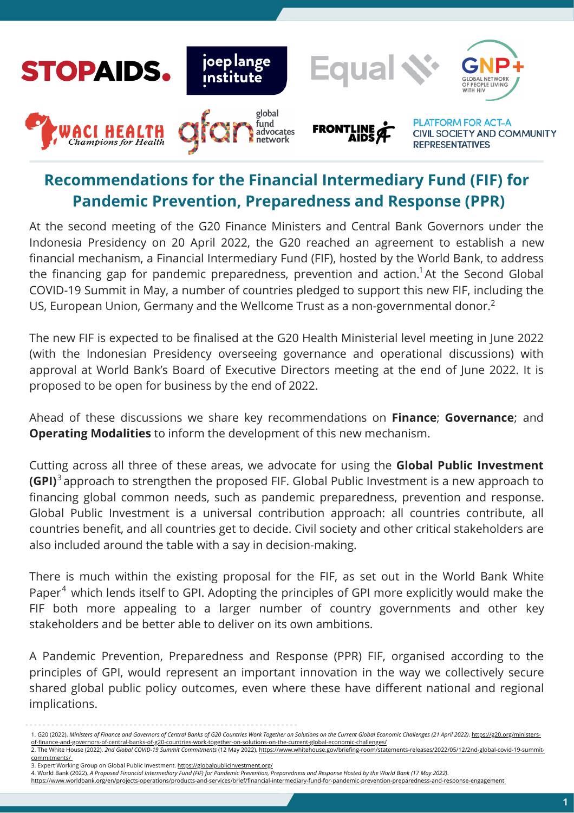

# **Recommendations for the Financial Intermediary Fund (FIF) for Pandemic Prevention, Preparedness and Response (PPR)**

At the second meeting of the G20 Finance Ministers and Central Bank Governors under the Indonesia Presidency on 20 April 2022, the G20 reached an agreement to establish a new financial mechanism, a Financial Intermediary Fund (FIF), hosted by the World Bank, to address the financing gap for pandemic preparedness, prevention and action.<sup>1</sup>At the Second Global COVID-19 Summit in May, a number of countries pledged to support this new FIF, including the US, European Union, Germany and the Wellcome Trust as a non-governmental donor. $^2$ 

The new FIF is expected to be finalised at the G20 Health Ministerial level meeting in June 2022 (with the Indonesian Presidency overseeing governance and operational discussions) with approval at World Bank's Board of Executive Directors meeting at the end of June 2022. It is proposed to be open for business by the end of 2022.

Ahead of these discussions we share key recommendations on **Finance**; **Governance**; and **Operating Modalities** to inform the development of this new mechanism.

Cutting across all three of these areas, we advocate for using the **Global Public Investment (GPI)**<sup>3</sup> approach to strengthen the proposed FIF. Global Public Investment is a new approach to financing global common needs, such as pandemic preparedness, prevention and response. Global Public Investment is a universal contribution approach: all countries contribute, all countries benefit, and all countries get to decide. Civil society and other critical stakeholders are also included around the table with a say in decision-making.

There is much within the existing proposal for the FIF, as set out in the World Bank White Paper $^4$  which lends itself to GPI. Adopting the principles of GPI more explicitly would make the FIF both more appealing to a larger number of country governments and other key stakeholders and be better able to deliver on its own ambitions.

A Pandemic Prevention, Preparedness and Response (PPR) FIF, organised according to the principles of GPI, would represent an important innovation in the way we collectively secure shared global public policy outcomes, even where these have different national and regional implications.

<sup>1.</sup> G20 (2022). *[Ministers of Finance and Governors of Central Banks of G20 Countries Work Together on Solutions on the Current Global Economic Challenges \(21 April 2022\)](https://g20.org/ministers-of-finance-and-governors-of-central-banks-of-g20-countries-work-together-on-solutions-on-the-current-global-economic-challenges/)*. https://g20.org/ministersof-finance-and-governors-of-central-banks-of-g20-countries-work-together-on-solutions-on-the-current-global-economic-challenges/

<sup>2.</sup> The White House (2022). *2nd Global COVID-19 Summit Commitments* [\(12 May 2022\). https://www.whitehouse.gov/briefing-room/statements-releases/2022/05/12/2nd-global-covid-19-summit](https://www.whitehouse.gov/briefing-room/statements-releases/2022/05/12/2nd-global-covid-19-summit-commitments/)commitments/

<sup>3.</sup> Expert Working Group on Global Public Investment. <https://globalpublicinvestment.org/>

<sup>4.</sup> World Bank (2022). *A Proposed Financial Intermediary Fund (FIF) for Pandemic Prevention, Preparedness and Response Hosted by the World Bank (17 May 2022)*.

<https://www.worldbank.org/en/projects-operations/products-and-services/brief/financial-intermediary-fund-for-pandemic-prevention-preparedness-and-response-engagement>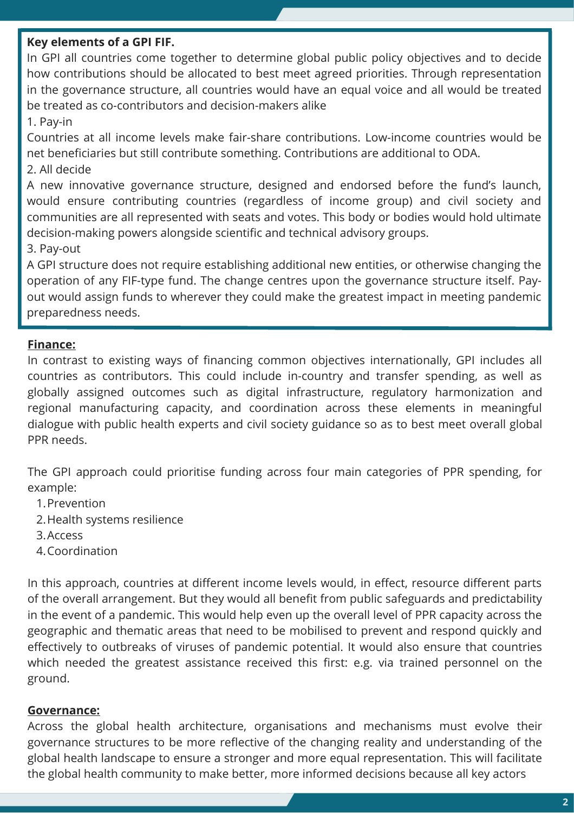#### **Key elements of a GPI FIF.**

In GPI all countries come together to determine global public policy objectives and to decide how contributions should be allocated to best meet agreed priorities. Through representation in the governance structure, all countries would have an equal voice and all would be treated be treated as co-contributors and decision-makers alike

1. Pay-in

Countries at all income levels make fair-share contributions. Low-income countries would be net beneficiaries but still contribute something. Contributions are additional to ODA. 2. All decide

A new innovative governance structure, designed and endorsed before the fund's launch, would ensure contributing countries (regardless of income group) and civil society and communities are all represented with seats and votes. This body or bodies would hold ultimate decision-making powers alongside scientific and technical advisory groups.

3. Pay-out

A GPI structure does not require establishing additional new entities, or otherwise changing the operation of any FIF-type fund. The change centres upon the governance structure itself. Payout would assign funds to wherever they could make the greatest impact in meeting pandemic preparedness needs.

## **Finance:**

In contrast to existing ways of financing common objectives internationally, GPI includes all countries as contributors. This could include in-country and transfer spending, as well as globally assigned outcomes such as digital infrastructure, regulatory harmonization and regional manufacturing capacity, and coordination across these elements in meaningful dialogue with public health experts and civil society guidance so as to best meet overall global PPR needs.

The GPI approach could prioritise funding across four main categories of PPR spending, for example:

- 1. Prevention
- 2.Health systems resilience
- Access 3.
- 4.Coordination

In this approach, countries at different income levels would, in effect, resource different parts of the overall arrangement. But they would all benefit from public safeguards and predictability in the event of a pandemic. This would help even up the overall level of PPR capacity across the geographic and thematic areas that need to be mobilised to prevent and respond quickly and effectively to outbreaks of viruses of pandemic potential. It would also ensure that countries which needed the greatest assistance received this first: e.g. via trained personnel on the ground.

### **Governance:**

Across the global health architecture, organisations and mechanisms must evolve their governance structures to be more reflective of the changing reality and understanding of the global health landscape to ensure a stronger and more equal representation. This will facilitate the global health community to make better, more informed decisions because all key actors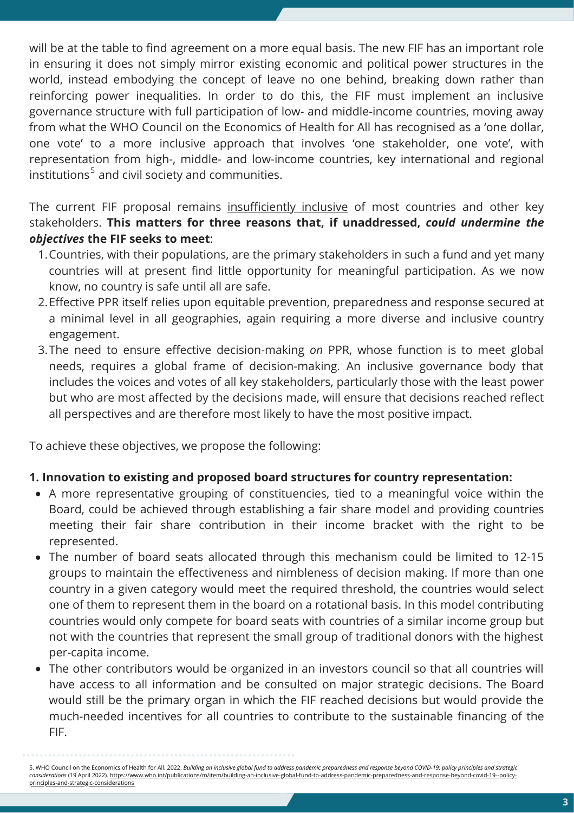will be at the table to find agreement on a more equal basis. The new FIF has an important role in ensuring it does not simply mirror existing economic and political power structures in the world, instead embodying the concept of leave no one behind, breaking down rather than reinforcing power inequalities. In order to do this, the FIF must implement an inclusive governance structure with full participation of low- and middle-income countries, moving away from what the WHO Council on the Economics of Health for All has recognised as a 'one dollar, one vote' to a more inclusive approach that involves 'one stakeholder, one vote', with representation from high-, middle- and low-income countries, key international and regional institutions $^5$  and civil society and communities.

The current FIF proposal remains insufficiently inclusive of most countries and other key stakeholders. **This matters for three reasons that, if unaddressed,** *could undermine the objectives* **the FIF seeks to meet**:

- Countries, with their populations, are the primary stakeholders in such a fund and yet many 1. countries will at present find little opportunity for meaningful participation. As we now know, no country is safe until all are safe.
- Effective PPR itself relies upon equitable prevention, preparedness and response secured at 2. a minimal level in all geographies, again requiring a more diverse and inclusive country engagement.
- 3.The need to ensure effective decision-making *on* PPR, whose function is to meet global needs, requires a global frame of decision-making. An inclusive governance body that includes the voices and votes of all key stakeholders, particularly those with the least power but who are most affected by the decisions made, will ensure that decisions reached reflect all perspectives and are therefore most likely to have the most positive impact.

To achieve these objectives, we propose the following:

## **1. Innovation to existing and proposed board structures for country representation:**

- A more representative grouping of constituencies, tied to a meaningful voice within the Board, could be achieved through establishing a fair share model and providing countries meeting their fair share contribution in their income bracket with the right to be represented.
- The number of board seats allocated through this mechanism could be limited to 12-15 groups to maintain the effectiveness and nimbleness of decision making. If more than one country in a given category would meet the required threshold, the countries would select one of them to represent them in the board on a rotational basis. In this model contributing countries would only compete for board seats with countries of a similar income group but not with the countries that represent the small group of traditional donors with the highest per-capita income.
- The other contributors would be organized in an investors council so that all countries will have access to all information and be consulted on major strategic decisions. The Board would still be the primary organ in which the FIF reached decisions but would provide the much-needed incentives for all countries to contribute to the sustainable financing of the FIF.

<sup>5.</sup> WHO Council on the Economics of Health for All. 2022. *Building an inclusive global fund to address pandemic preparedness and response beyond COVID-19: policy principles and strategic considerations* [\(19 April 2022\). https://www.who.int/publications/m/item/building-an-inclusive-global-fund-to-address-pandemic-preparedness-and-response-beyond-covid-19--policy](https://www.who.int/publications/m/item/building-an-inclusive-global-fund-to-address-pandemic-preparedness-and-response-beyond-covid-19--policy-principles-and-strategic-considerations)principles-and-strategic-considerations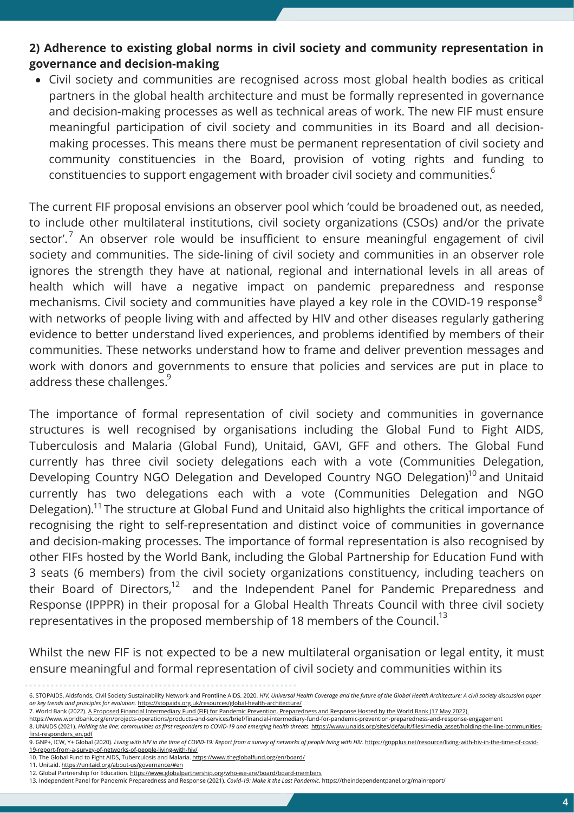## **2) Adherence to existing global norms in civil society and community representation in governance and decision-making**

Civil society and communities are recognised across most global health bodies as critical partners in the global health architecture and must be formally represented in governance and decision-making processes as well as technical areas of work. The new FIF must ensure meaningful participation of civil society and communities in its Board and all decisionmaking processes. This means there must be permanent representation of civil society and community constituencies in the Board, provision of voting rights and funding to constituencies to support engagement with broader civil society and communities. $^6$ 

The current FIF proposal envisions an observer pool which 'could be broadened out, as needed, to include other multilateral institutions, civil society organizations (CSOs) and/or the private sector'. $^7$  An observer role would be insufficient to ensure meaningful engagement of civil society and communities. The side-lining of civil society and communities in an observer role ignores the strength they have at national, regional and international levels in all areas of health which will have a negative impact on pandemic preparedness and response mechanisms. Civil society and communities have played a key role in the COVID-19 response $^8$ with networks of people living with and affected by HIV and other diseases regularly gathering evidence to better understand lived experiences, and problems identified by members of their communities. These networks understand how to frame and deliver prevention messages and work with donors and governments to ensure that policies and services are put in place to address these challenges. $^9$ 

The importance of formal representation of civil society and communities in governance structures is well recognised by organisations including the Global Fund to Fight AIDS, Tuberculosis and Malaria (Global Fund), Unitaid, GAVI, GFF and others. The Global Fund currently has three civil society delegations each with a vote (Communities Delegation, Developing Country NGO Delegation and Developed Country NGO Delegation)<sup>10</sup> and Unitaid currently has two delegations each with a vote (Communities Delegation and NGO Delegation).<sup>11</sup> The structure at Global Fund and Unitaid also highlights the critical importance of recognising the right to self-representation and distinct voice of communities in governance and decision-making processes. The importance of formal representation is also recognised by other FIFs hosted by the World Bank, including the Global Partnership for Education Fund with 3 seats (6 members) from the civil society organizations constituency, including teachers on their Board of Directors, $^{12}$  and the Independent Panel for Pandemic Preparedness and Response (IPPPR) in their proposal for a Global Health Threats Council with three civil society representatives in the proposed membership of 18 members of the Council. $^{\rm 13}$ 

Whilst the new FIF is not expected to be a new multilateral organisation or legal entity, it must ensure meaningful and formal representation of civil society and communities within its

<https://www.worldbank.org/en/projects-operations/products-and-services/brief/financial-intermediary-fund-for-pandemic-prevention-preparedness-and-response-engagement> 8. UNAIDS (2021). [Holding the line: communities as first responders to COVID-19 and emerging health threats.](https://www.unaids.org/sites/default/files/media_asset/holding-the-line-communities-first-responders_en.pdf) https://www.unaids.org/sites/default/files/media\_asset/holding-the-line-communities-

<sup>6.</sup> STOPAIDS, Aidsfonds, Civil Society Sustainability Network and Frontline AIDS. 2020. *HIV, Universal Health Coverage and the future of the Global Health Architecture: A civil society discussion paper on key trends and principles for evolution.* <https://stopaids.org.uk/resources/global-health-architecture/>

<sup>7.</sup> World Bank (2022). A Proposed Financial Intermediary Fund (FIF) for Pandemic Prevention, Preparedness and Response Hosted by the World Bank (17 May 2022).

first-responders\_en.pdf 9. GNP+, ICW, Y+ Global (2020). *[Living with HIV in the time of COVID-19: Report from a survey of networks of people living with HIV](https://gnpplus.net/resource/living-with-hiv-in-the-time-of-covid-19-report-from-a-survey-of-networks-of-people-living-with-hiv/)*. https://gnpplus.net/resource/living-with-hiv-in-the-time-of-covid-19-report-from-a-survey-of-networks-of-people-living-with-hiv/

<sup>10.</sup> The Global Fund to Fight AIDS, Tuberculosis and Malaria. <https://www.theglobalfund.org/en/board/>

<sup>11.</sup> Unitaid. <https://unitaid.org/about-us/governance/#en>

<sup>12.</sup> Global Partnership for Education. <https://www.globalpartnership.org/who-we-are/board/board-members>

<sup>13.</sup> Independent Panel for Pandemic Preparedness and Response (2021). *Covid-19: Make it the Last Pandemic*. <https://theindependentpanel.org/mainreport/>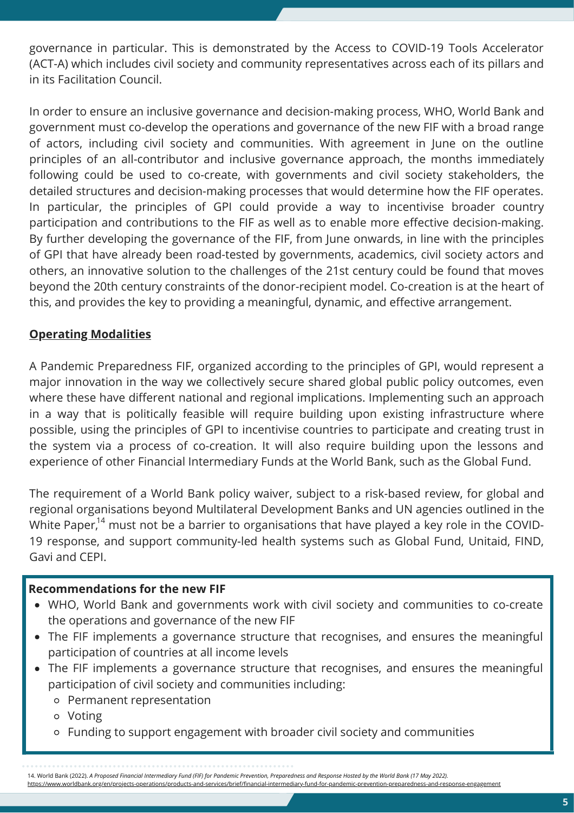governance in particular. This is demonstrated by the Access to COVID-19 Tools Accelerator (ACT-A) which includes civil society and community representatives across each of its pillars and in its Facilitation Council.

In order to ensure an inclusive governance and decision-making process, WHO, World Bank and government must co-develop the operations and governance of the new FIF with a broad range of actors, including civil society and communities. With agreement in June on the outline principles of an all-contributor and inclusive governance approach, the months immediately following could be used to co-create, with governments and civil society stakeholders, the detailed structures and decision-making processes that would determine how the FIF operates. In particular, the principles of GPI could provide a way to incentivise broader country participation and contributions to the FIF as well as to enable more effective decision-making. By further developing the governance of the FIF, from June onwards, in line with the principles of GPI that have already been road-tested by governments, academics, civil society actors and others, an innovative solution to the challenges of the 21st century could be found that moves beyond the 20th century constraints of the donor-recipient model. Co-creation is at the heart of this, and provides the key to providing a meaningful, dynamic, and effective arrangement.

## **Operating Modalities**

A Pandemic Preparedness FIF, organized according to the principles of GPI, would represent a major innovation in the way we collectively secure shared global public policy outcomes, even where these have different national and regional implications. Implementing such an approach in a way that is politically feasible will require building upon existing infrastructure where possible, using the principles of GPI to incentivise countries to participate and creating trust in the system via a process of co-creation. It will also require building upon the lessons and experience of other Financial Intermediary Funds at the World Bank, such as the Global Fund.

The requirement of a World Bank policy waiver, subject to a risk-based review, for global and regional organisations beyond Multilateral Development Banks and UN agencies outlined in the White Paper, $^\mathrm{14}$  must not be a barrier to organisations that have played a key role in the COVID-19 response, and support community-led health systems such as Global Fund, Unitaid, FIND, Gavi and CEPI.

## **Recommendations for the new FIF**

- WHO, World Bank and governments work with civil society and communities to co-create the operations and governance of the new FIF
- The FIF implements a governance structure that recognises, and ensures the meaningful participation of countries at all income levels
- The FIF implements a governance structure that recognises, and ensures the meaningful participation of civil society and communities including:
	- Permanent representation
	- Voting
	- Funding to support engagement with broader civil society and communities

14. World Bank (2022). *A Proposed Financial Intermediary Fund (FIF) for Pandemic Prevention, Preparedness and Response Hosted by the World Bank (17 May 2022).*

<https://www.worldbank.org/en/projects-operations/products-and-services/brief/financial-intermediary-fund-for-pandemic-prevention-preparedness-and-response-engagement>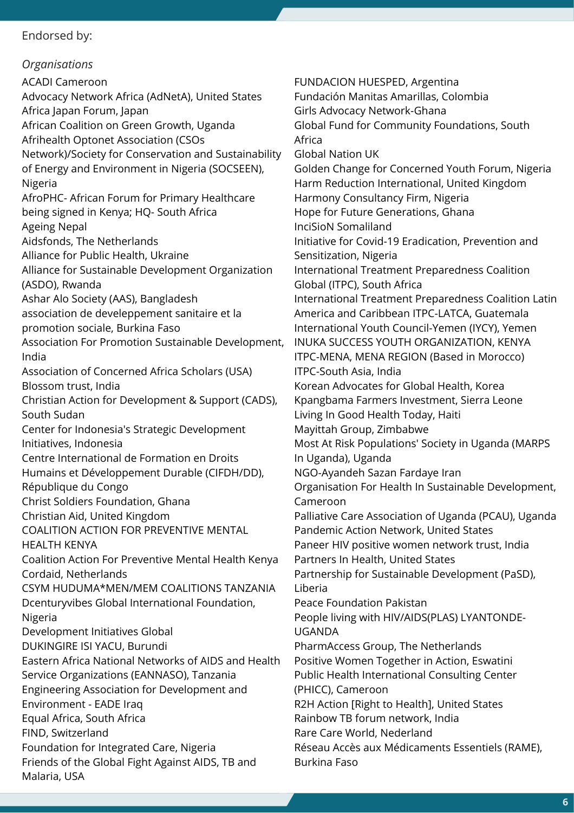#### Endorsed by:

*Organisations*

ACADI Cameroon Advocacy Network Africa (AdNetA), United States Africa Japan Forum, Japan African Coalition on Green Growth, Uganda Afrihealth Optonet Association (CSOs Network)/Society for Conservation and Sustainability of Energy and Environment in Nigeria (SOCSEEN), Nigeria AfroPHC- African Forum for Primary Healthcare being signed in Kenya; HQ- South Africa Ageing Nepal Aidsfonds, The Netherlands Alliance for Public Health, Ukraine Alliance for Sustainable Development Organization (ASDO), Rwanda Ashar Alo Society (AAS), Bangladesh association de develeppement sanitaire et la promotion sociale, Burkina Faso Association For Promotion Sustainable Development, India Association of Concerned Africa Scholars (USA) Blossom trust, India Christian Action for Development & Support (CADS), South Sudan Center for Indonesia's Strategic Development Initiatives, Indonesia Centre International de Formation en Droits Humains et Développement Durable (CIFDH/DD), République du Congo Christ Soldiers Foundation, Ghana Christian Aid, United Kingdom COALITION ACTION FOR PREVENTIVE MENTAL HEALTH KENYA Coalition Action For Preventive Mental Health Kenya Cordaid, Netherlands CSYM HUDUMA\*MEN/MEM COALITIONS TANZANIA Dcenturyvibes Global International Foundation, Nigeria Development Initiatives Global DUKINGIRE ISI YACU, Burundi Eastern Africa National Networks of AIDS and Health Service Organizations (EANNASO), Tanzania Engineering Association for Development and Environment - EADE Iraq Equal Africa, South Africa FIND, Switzerland Foundation for Integrated Care, Nigeria Friends of the Global Fight Against AIDS, TB and Malaria, USA

FUNDACION HUESPED, Argentina Fundación Manitas Amarillas, Colombia Girls Advocacy Network-Ghana Global Fund for Community Foundations, South Africa Global Nation UK Golden Change for Concerned Youth Forum, Nigeria Harm Reduction International, United Kingdom Harmony Consultancy Firm, Nigeria Hope for Future Generations, Ghana InciSioN Somaliland Initiative for Covid-19 Eradication, Prevention and Sensitization, Nigeria International Treatment Preparedness Coalition Global (ITPC), South Africa International Treatment Preparedness Coalition Latin America and Caribbean ITPC-LATCA, Guatemala International Youth Council-Yemen (IYCY), Yemen INUKA SUCCESS YOUTH ORGANIZATION, KENYA ITPC-MENA, MENA REGION (Based in Morocco) ITPC-South Asia, India Korean Advocates for Global Health, Korea Kpangbama Farmers Investment, Sierra Leone Living In Good Health Today, Haiti Mayittah Group, Zimbabwe Most At Risk Populations' Society in Uganda (MARPS In Uganda), Uganda NGO-Ayandeh Sazan Fardaye Iran Organisation For Health In Sustainable Development, Cameroon Palliative Care Association of Uganda (PCAU), Uganda Pandemic Action Network, United States Paneer HIV positive women network trust, India Partners In Health, United States Partnership for Sustainable Development (PaSD), Liberia Peace Foundation Pakistan People living with HIV/AIDS(PLAS) LYANTONDE-UGANDA PharmAccess Group, The Netherlands Positive Women Together in Action, Eswatini Public Health International Consulting Center (PHICC), Cameroon R2H Action [Right to Health], United States Rainbow TB forum network, India Rare Care World, Nederland Réseau Accès aux Médicaments Essentiels (RAME), Burkina Faso